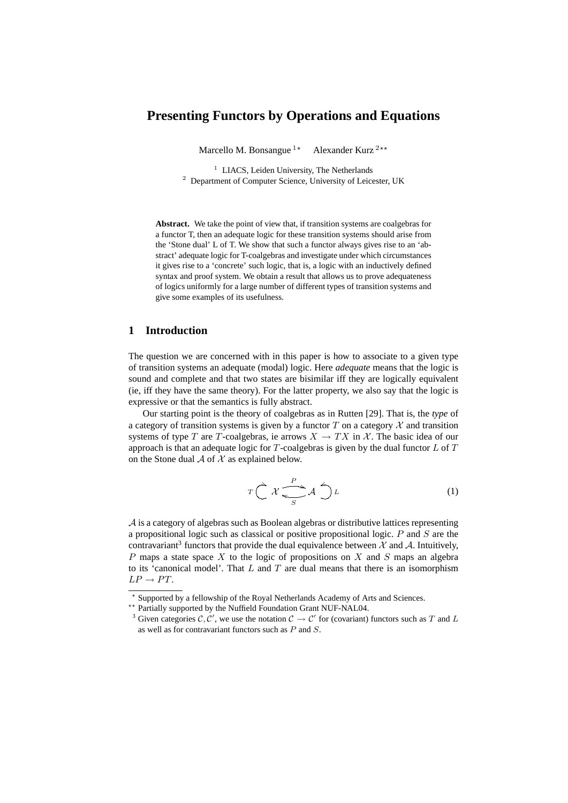# **Presenting Functors by Operations and Equations**

Marcello M. Bonsangue  $1*$  Alexander Kurz  $2**$ 

<sup>1</sup> LIACS, Leiden University, The Netherlands <sup>2</sup> Department of Computer Science, University of Leicester, UK

**Abstract.** We take the point of view that, if transition systems are coalgebras for a functor T, then an adequate logic for these transition systems should arise from the 'Stone dual' L of T. We show that such a functor always gives rise to an 'abstract' adequate logic for T-coalgebras and investigate under which circumstances it gives rise to a 'concrete' such logic, that is, a logic with an inductively defined syntax and proof system. We obtain a result that allows us to prove adequateness of logics uniformly for a large number of different types of transition systems and give some examples of its usefulness.

# **1 Introduction**

The question we are concerned with in this paper is how to associate to a given type of transition systems an adequate (modal) logic. Here *adequate* means that the logic is sound and complete and that two states are bisimilar iff they are logically equivalent (ie, iff they have the same theory). For the latter property, we also say that the logic is expressive or that the semantics is fully abstract.

Our starting point is the theory of coalgebras as in Rutten [29]. That is, the *type* of a category of transition systems is given by a functor  $T$  on a category  $\mathcal X$  and transition systems of type T are T-coalgebras, ie arrows  $X \to TX$  in X. The basic idea of our approach is that an adequate logic for  $T$ -coalgebras is given by the dual functor  $L$  of  $T$ on the Stone dual  $A$  of  $X$  as explained below.

$$
T\bigg(\mathcal{X}\bigg)\overset{P}{\underset{S}{\longleftarrow}}\mathcal{A}\bigg)\mathcal{L}\tag{1}
$$

A is a category of algebras such as Boolean algebras or distributive lattices representing a propositional logic such as classical or positive propositional logic. P and S are the contravariant<sup>3</sup> functors that provide the dual equivalence between  $\mathcal X$  and  $\mathcal A$ . Intuitively, P maps a state space X to the logic of propositions on X and S maps an algebra to its 'canonical model'. That  $L$  and  $T$  are dual means that there is an isomorphism  $LP \rightarrow PT$ .

<sup>?</sup> Supported by a fellowship of the Royal Netherlands Academy of Arts and Sciences.

<sup>\*\*</sup> Partially supported by the Nuffield Foundation Grant NUF-NAL04.

<sup>&</sup>lt;sup>3</sup> Given categories  $\mathcal{C}, \mathcal{C}'$ , we use the notation  $\mathcal{C} \to \mathcal{C}'$  for (covariant) functors such as T and L as well as for contravariant functors such as P and S.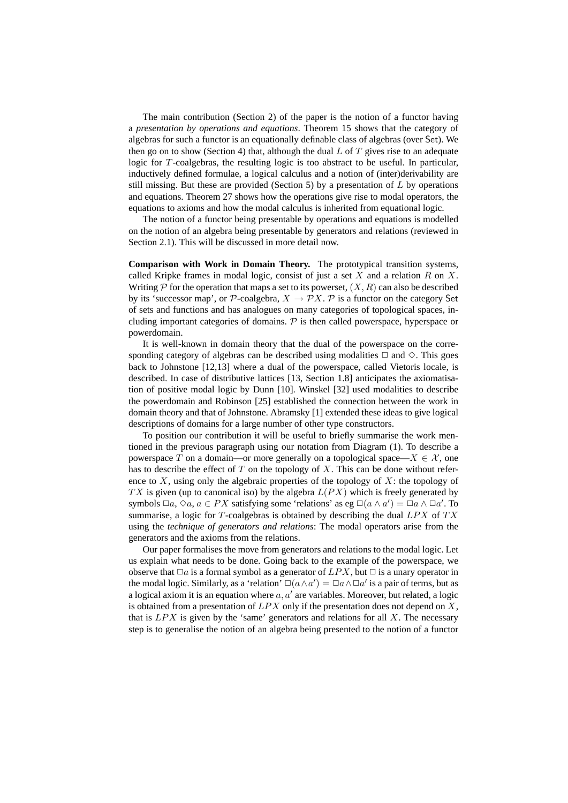The main contribution (Section 2) of the paper is the notion of a functor having a *presentation by operations and equations*. Theorem 15 shows that the category of algebras for such a functor is an equationally definable class of algebras (over Set). We then go on to show (Section 4) that, although the dual  $L$  of  $T$  gives rise to an adequate logic for T-coalgebras, the resulting logic is too abstract to be useful. In particular, inductively defined formulae, a logical calculus and a notion of (inter)derivability are still missing. But these are provided (Section 5) by a presentation of  $L$  by operations and equations. Theorem 27 shows how the operations give rise to modal operators, the equations to axioms and how the modal calculus is inherited from equational logic.

The notion of a functor being presentable by operations and equations is modelled on the notion of an algebra being presentable by generators and relations (reviewed in Section 2.1). This will be discussed in more detail now.

**Comparison with Work in Domain Theory.** The prototypical transition systems, called Kripke frames in modal logic, consist of just a set  $X$  and a relation  $R$  on  $X$ . Writing  $P$  for the operation that maps a set to its powerset,  $(X, R)$  can also be described by its 'successor map', or P-coalgebra,  $X \to \mathcal{P}X$ . P is a functor on the category Set of sets and functions and has analogues on many categories of topological spaces, including important categories of domains.  $P$  is then called powerspace, hyperspace or powerdomain.

It is well-known in domain theory that the dual of the powerspace on the corresponding category of algebras can be described using modalities  $\Box$  and  $\diamond$ . This goes back to Johnstone [12,13] where a dual of the powerspace, called Vietoris locale, is described. In case of distributive lattices [13, Section 1.8] anticipates the axiomatisation of positive modal logic by Dunn [10]. Winskel [32] used modalities to describe the powerdomain and Robinson [25] established the connection between the work in domain theory and that of Johnstone. Abramsky [1] extended these ideas to give logical descriptions of domains for a large number of other type constructors.

To position our contribution it will be useful to briefly summarise the work mentioned in the previous paragraph using our notation from Diagram (1). To describe a powerspace T on a domain—or more generally on a topological space— $X \in \mathcal{X}$ , one has to describe the effect of  $T$  on the topology of  $X$ . This can be done without reference to  $X$ , using only the algebraic properties of the topology of  $X$ : the topology of  $TX$  is given (up to canonical iso) by the algebra  $L(PX)$  which is freely generated by symbols  $\Box a, \Diamond a, a \in PX$  satisfying some 'relations' as eg  $\Box(a \land a') = \Box a \land \Box a'$ . To summarise, a logic for  $T$ -coalgebras is obtained by describing the dual  $LPX$  of  $TX$ using the *technique of generators and relations*: The modal operators arise from the generators and the axioms from the relations.

Our paper formalises the move from generators and relations to the modal logic. Let us explain what needs to be done. Going back to the example of the powerspace, we observe that  $\Box a$  is a formal symbol as a generator of  $LPX$ , but  $\Box$  is a unary operator in the modal logic. Similarly, as a 'relation'  $\square(a \wedge a') = \square a \wedge \square a'$  is a pair of terms, but as a logical axiom it is an equation where  $a, a'$  are variables. Moreover, but related, a logic is obtained from a presentation of  $LPX$  only if the presentation does not depend on X, that is  $LPX$  is given by the 'same' generators and relations for all X. The necessary step is to generalise the notion of an algebra being presented to the notion of a functor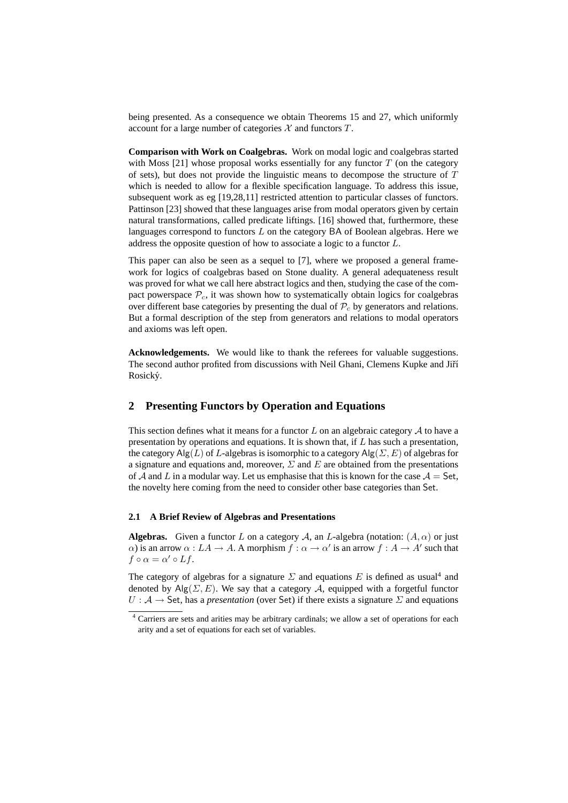being presented. As a consequence we obtain Theorems 15 and 27, which uniformly account for a large number of categories  $\mathcal X$  and functors  $T$ .

**Comparison with Work on Coalgebras.** Work on modal logic and coalgebras started with Moss  $[21]$  whose proposal works essentially for any functor T (on the category of sets), but does not provide the linguistic means to decompose the structure of  $T$ which is needed to allow for a flexible specification language. To address this issue, subsequent work as eg [19,28,11] restricted attention to particular classes of functors. Pattinson [23] showed that these languages arise from modal operators given by certain natural transformations, called predicate liftings. [16] showed that, furthermore, these languages correspond to functors  $L$  on the category BA of Boolean algebras. Here we address the opposite question of how to associate a logic to a functor L.

This paper can also be seen as a sequel to [7], where we proposed a general framework for logics of coalgebras based on Stone duality. A general adequateness result was proved for what we call here abstract logics and then, studying the case of the compact powerspace  $P_c$ , it was shown how to systematically obtain logics for coalgebras over different base categories by presenting the dual of  $P_c$  by generators and relations. But a formal description of the step from generators and relations to modal operators and axioms was left open.

**Acknowledgements.** We would like to thank the referees for valuable suggestions. The second author profited from discussions with Neil Ghani, Clemens Kupke and Jiří Rosický.

## **2 Presenting Functors by Operation and Equations**

This section defines what it means for a functor L on an algebraic category  $A$  to have a presentation by operations and equations. It is shown that, if  $L$  has such a presentation, the category  $\text{Alg}(L)$  of L-algebras is isomorphic to a category  $\text{Alg}(\Sigma, E)$  of algebras for a signature and equations and, moreover,  $\Sigma$  and  $E$  are obtained from the presentations of A and L in a modular way. Let us emphasise that this is known for the case  $A =$  Set, the novelty here coming from the need to consider other base categories than Set.

#### **2.1 A Brief Review of Algebras and Presentations**

**Algebras.** Given a functor L on a category A, an L-algebra (notation:  $(A, \alpha)$  or just  $\alpha$ ) is an arrow  $\alpha : LA \to A$ . A morphism  $f : \alpha \to \alpha'$  is an arrow  $f : A \to A'$  such that  $f \circ \alpha = \alpha' \circ Lf$ .

The category of algebras for a signature  $\Sigma$  and equations E is defined as usual<sup>4</sup> and denoted by Alg( $\Sigma, E$ ). We say that a category A, equipped with a forgetful functor  $U : A \rightarrow$  Set, has a *presentation* (over Set) if there exists a signature  $\Sigma$  and equations

<sup>&</sup>lt;sup>4</sup> Carriers are sets and arities may be arbitrary cardinals; we allow a set of operations for each arity and a set of equations for each set of variables.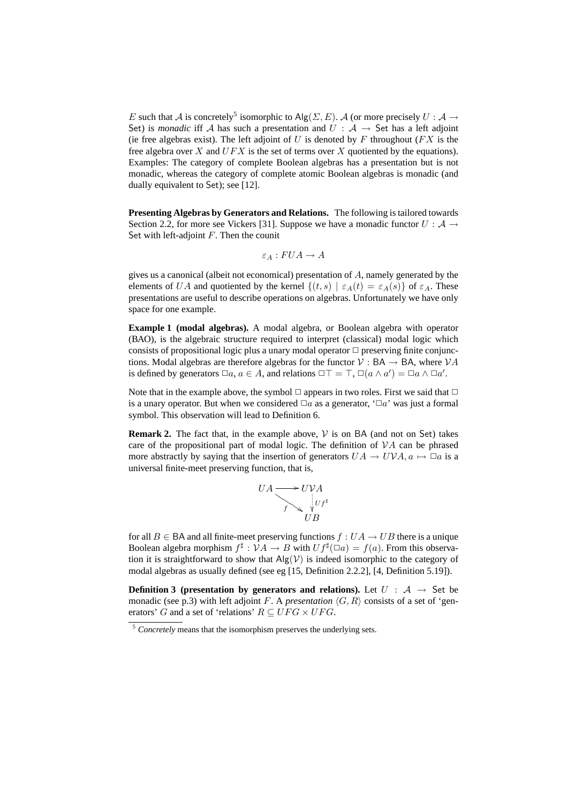E such that A is concretely<sup>5</sup> isomorphic to Alg( $\Sigma, E$ ). A (or more precisely  $U : A \rightarrow$ Set) is *monadic* iff A has such a presentation and  $U : A \rightarrow$  Set has a left adjoint (ie free algebras exist). The left adjoint of  $U$  is denoted by  $F$  throughout ( $FX$  is the free algebra over  $X$  and  $UFX$  is the set of terms over  $X$  quotiented by the equations). Examples: The category of complete Boolean algebras has a presentation but is not monadic, whereas the category of complete atomic Boolean algebras is monadic (and dually equivalent to Set); see [12].

**Presenting Algebras by Generators and Relations.** The following is tailored towards Section 2.2, for more see Vickers [31]. Suppose we have a monadic functor  $U : A \rightarrow$ Set with left-adjoint  $F$ . Then the counit

$$
\varepsilon_A: FUA \to A
$$

gives us a canonical (albeit not economical) presentation of A, namely generated by the elements of UA and quotiented by the kernel  $\{(t, s) | \varepsilon_A(t) = \varepsilon_A(s)\}\$  of  $\varepsilon_A$ . These presentations are useful to describe operations on algebras. Unfortunately we have only space for one example.

**Example 1 (modal algebras).** A modal algebra, or Boolean algebra with operator (BAO), is the algebraic structure required to interpret (classical) modal logic which consists of propositional logic plus a unary modal operator  $\Box$  preserving finite conjunctions. Modal algebras are therefore algebras for the functor  $V : BA \rightarrow BA$ , where  $VA$ is defined by generators  $\Box a, a \in A$ , and relations  $\Box \top = \top$ ,  $\Box(a \land a') = \Box a \land \Box a'$ .

Note that in the example above, the symbol  $\Box$  appears in two roles. First we said that  $\Box$ is a unary operator. But when we considered  $\Box a$  as a generator, ' $\Box a$ ' was just a formal symbol. This observation will lead to Definition 6.

**Remark 2.** The fact that, in the example above,  $\mathcal{V}$  is on BA (and not on Set) takes care of the propositional part of modal logic. The definition of  $VA$  can be phrased more abstractly by saying that the insertion of generators  $UA \rightarrow UVA$ ,  $a \mapsto \Box a$  is a universal finite-meet preserving function, that is,



for all  $B \in BA$  and all finite-meet preserving functions  $f : UA \rightarrow UB$  there is a unique Boolean algebra morphism  $f^{\sharp}: \mathcal{V} A \to B$  with  $U f^{\sharp}(\Box a) = f(a)$ . From this observation it is straightforward to show that  $\text{Alg}(\mathcal{V})$  is indeed isomorphic to the category of modal algebras as usually defined (see eg [15, Definition 2.2.2], [4, Definition 5.19]).

**Definition 3 (presentation by generators and relations).** Let  $U : A \rightarrow$  Set be monadic (see p.3) with left adjoint F. A *presentation*  $\langle G, R \rangle$  consists of a set of 'generators' G and a set of 'relations'  $R \subseteq UFG \times UFG$ .

<sup>&</sup>lt;sup>5</sup> *Concretely* means that the isomorphism preserves the underlying sets.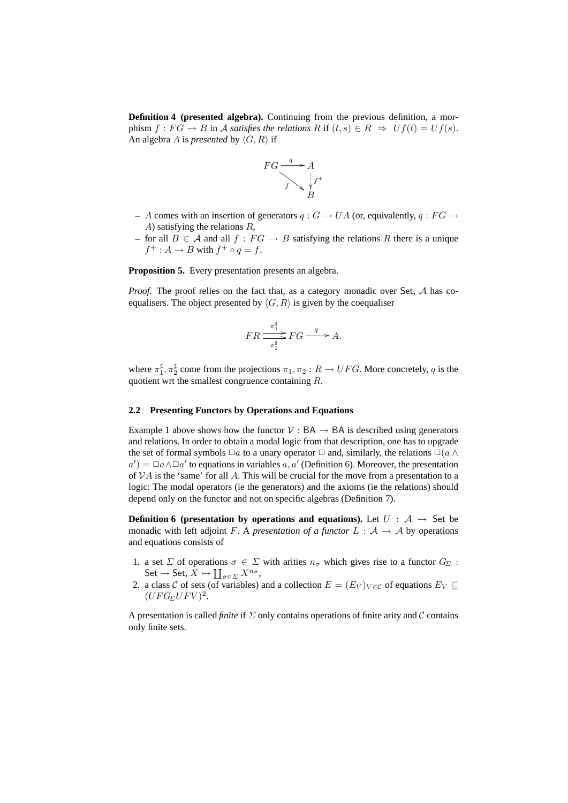**Definition 4 (presented algebra).** Continuing from the previous definition, a morphism  $f : FG \to B$  in A *satisfies the relations*  $R$  if  $(t, s) \in R \Rightarrow Uf(t) = Uf(s)$ . An algebra A is *presented* by  $\langle G, R \rangle$  if



- **–** A comes with an insertion of generators  $q: G \to UA$  (or, equivalently,  $q: FG \to$ A) satisfying the relations R,
- for all *B* ∈ *A* and all *f* : *FG*  $\rightarrow$  *B* satisfying the relations *R* there is a unique  $f^+ : A \to B$  with  $f^+ \circ q = f$ .

**Proposition 5.** Every presentation presents an algebra.

*Proof.* The proof relies on the fact that, as a category monadic over Set, A has coequalisers. The object presented by  $\langle G, R \rangle$  is given by the coequaliser

$$
FR \frac{\pi_1^{\sharp}}{\pi_2^{\sharp}} FG \stackrel{q}{\longrightarrow} A.
$$

where  $\pi_1^{\sharp}, \pi_2^{\sharp}$  come from the projections  $\pi_1, \pi_2: R \to UFG$ . More concretely, q is the quotient wrt the smallest congruence containing R.

#### **2.2 Presenting Functors by Operations and Equations**

Example 1 above shows how the functor  $V : BA \rightarrow BA$  is described using generators and relations. In order to obtain a modal logic from that description, one has to upgrade the set of formal symbols  $\square a$  to a unary operator  $\square$  and, similarly, the relations  $\square(a \wedge a)$  $a'$ ) =  $\Box a \land \Box a'$  to equations in variables a, a' (Definition 6). Moreover, the presentation of  $VA$  is the 'same' for all A. This will be crucial for the move from a presentation to a logic: The modal operators (ie the generators) and the axioms (ie the relations) should depend only on the functor and not on specific algebras (Definition 7).

**Definition 6 (presentation by operations and equations).** Let  $U : A \rightarrow$  Set be monadic with left adjoint F. A *presentation of a functor*  $L : A \rightarrow A$  by operations and equations consists of

- 1. a set  $\Sigma$  of operations  $\sigma \in \Sigma$  with arities  $n_{\sigma}$  which gives rise to a functor  $G_{\Sigma}$ : Set  $\to$  Set,  $X \mapsto \coprod_{\sigma \in \Sigma} X^{n_{\sigma}},$
- 2. a class C of sets (of variables) and a collection  $E = (E_V)_{V \in \mathcal{C}}$  of equations  $E_V \subseteq$  $(UFG_{\Sigma}UFV)^{2}.$

A presentation is called *finite* if  $\Sigma$  only contains operations of finite arity and C contains only finite sets.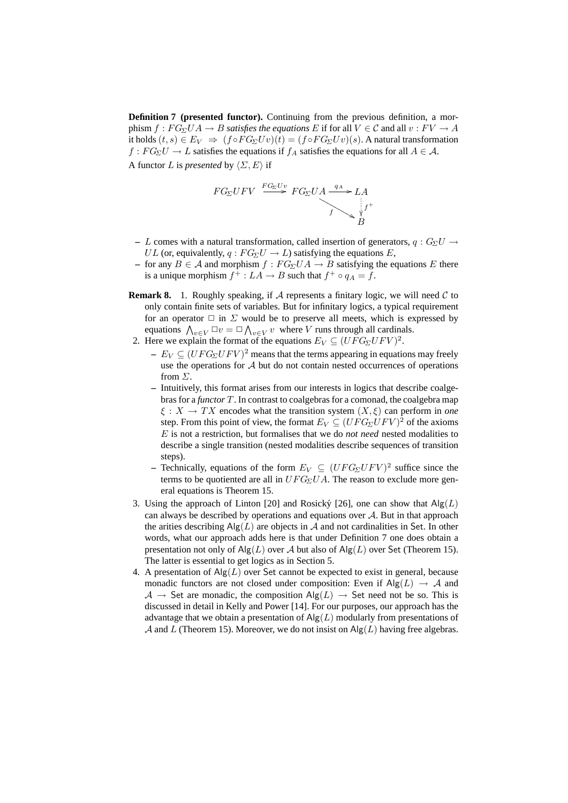**Definition 7 (presented functor).** Continuing from the previous definition, a morphism  $f : FG_{\Sigma}UA \to B$  *satisfies the equations* E if for all  $V \in \mathcal{C}$  and all  $v : FV \to A$ it holds  $(t, s) \in E_V \Rightarrow (f \circ FG_\Sigma Uv)(t) = (f \circ FG_\Sigma Uv)(s)$ . A natural transformation  $f: FG_{\Sigma}U \to L$  satisfies the equations if  $f_A$  satisfies the equations for all  $A \in \mathcal{A}$ . A functor L is *presented* by  $\langle \Sigma, E \rangle$  if

$$
FG_{\Sigma}UFV \xrightarrow{FG_{\Sigma}Uv} FG_{\Sigma}UA \xrightarrow{q_A} LA
$$
  
\n $f \searrow \psi f^+$   
\n $B$ 

- L comes with a natural transformation, called insertion of generators,  $q: G_{\Sigma}U \rightarrow$ UL (or, equivalently,  $q: FG_{\Sigma}U \rightarrow L$ ) satisfying the equations E,
- **–** for any  $B \in \mathcal{A}$  and morphism  $f : FG_{\Sigma}UA \rightarrow B$  satisfying the equations  $E$  there is a unique morphism  $f^+ : LA \to B$  such that  $f^+ \circ q_A = f$ .
- **Remark 8.** 1. Roughly speaking, if  $A$  represents a finitary logic, we will need  $C$  to only contain finite sets of variables. But for infinitary logics, a typical requirement for an operator  $\Box$  in  $\Sigma$  would be to preserve all meets, which is expressed by equations  $\bigwedge_{v \in V} \Box v = \Box \bigwedge_{v \in V} v$  where V runs through all cardinals.
- 2. Here we explain the format of the equations  $E_V \subseteq (UFG_\Sigma U F V)^2$ .
	- $E_V \subseteq (UFG_\Sigma U F V)^2$  means that the terms appearing in equations may freely use the operations for A but do not contain nested occurrences of operations from Σ.
	- **–** Intuitively, this format arises from our interests in logics that describe coalgebras for a *functor* T. In contrast to coalgebras for a comonad, the coalgebra map  $\xi : X \to TX$  encodes what the transition system  $(X, \xi)$  can perform in *one* step. From this point of view, the format  $E_V \subseteq (UFG_{\Sigma}UFV)^2$  of the axioms E is not a restriction, but formalises that we do *not need* nested modalities to describe a single transition (nested modalities describe sequences of transition steps).
	- **–** Technically, equations of the form  $E_V \subseteq (UFG_\Sigma U F V)^2$  suffice since the terms to be quotiented are all in  $UFG_{\Sigma}UA$ . The reason to exclude more general equations is Theorem 15.
- 3. Using the approach of Linton [20] and Rosický [26], one can show that  $\text{Alg}(L)$ can always be described by operations and equations over  $A$ . But in that approach the arities describing  $\text{Alg}(L)$  are objects in A and not cardinalities in Set. In other words, what our approach adds here is that under Definition 7 one does obtain a presentation not only of  $\text{Alg}(L)$  over A but also of  $\text{Alg}(L)$  over Set (Theorem 15). The latter is essential to get logics as in Section 5.
- 4. A presentation of  $\text{Alg}(L)$  over Set cannot be expected to exist in general, because monadic functors are not closed under composition: Even if  $\text{Alg}(L) \rightarrow \mathcal{A}$  and  $A \rightarrow$  Set are monadic, the composition  $\text{Alg}(L) \rightarrow$  Set need not be so. This is discussed in detail in Kelly and Power [14]. For our purposes, our approach has the advantage that we obtain a presentation of  $\text{Alg}(L)$  modularly from presentations of A and L (Theorem 15). Moreover, we do not insist on  $\text{Alg}(L)$  having free algebras.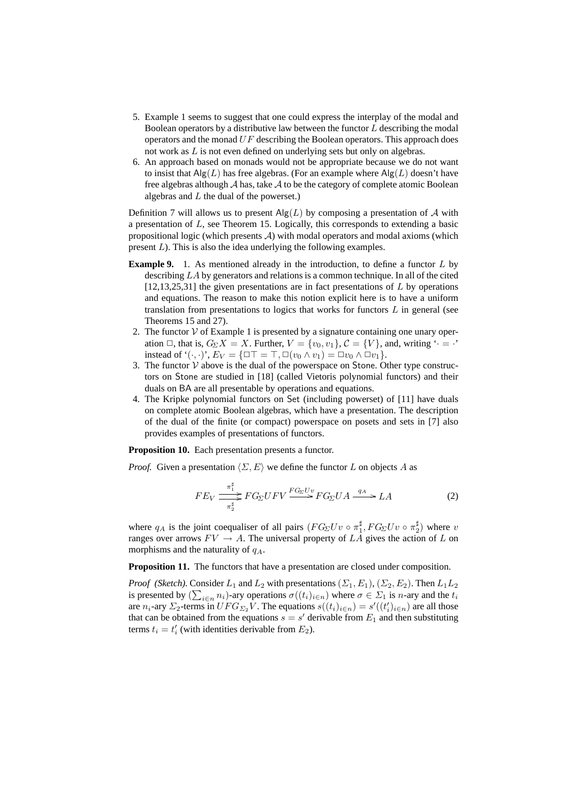- 5. Example 1 seems to suggest that one could express the interplay of the modal and Boolean operators by a distributive law between the functor L describing the modal operators and the monad  $UF$  describing the Boolean operators. This approach does not work as L is not even defined on underlying sets but only on algebras.
- 6. An approach based on monads would not be appropriate because we do not want to insist that  $\text{Alg}(L)$  has free algebras. (For an example where  $\text{Alg}(L)$  doesn't have free algebras although  $A$  has, take  $A$  to be the category of complete atomic Boolean algebras and  $L$  the dual of the powerset.)

Definition 7 will allows us to present  $\text{Alg}(L)$  by composing a presentation of A with a presentation of L, see Theorem 15. Logically, this corresponds to extending a basic propositional logic (which presents  $A$ ) with modal operators and modal axioms (which present L). This is also the idea underlying the following examples.

- **Example 9.** 1. As mentioned already in the introduction, to define a functor L by describing LA by generators and relations is a common technique. In all of the cited  $[12,13,25,31]$  the given presentations are in fact presentations of L by operations and equations. The reason to make this notion explicit here is to have a uniform translation from presentations to logics that works for functors  $L$  in general (see Theorems 15 and 27).
- 2. The functor  $V$  of Example 1 is presented by a signature containing one unary operation  $\Box$ , that is,  $G_{\Sigma}X = X$ . Further,  $V = \{v_0, v_1\}$ ,  $C = \{V\}$ , and, writing  $\therefore$  =  $\therefore$ instead of ' $(\cdot, \cdot)$ ',  $E_V = {\square \top = \top, \square (v_0 \wedge v_1) = \square v_0 \wedge \square v_1}.$
- 3. The functor  $V$  above is the dual of the powerspace on Stone. Other type constructors on Stone are studied in [18] (called Vietoris polynomial functors) and their duals on BA are all presentable by operations and equations.
- 4. The Kripke polynomial functors on Set (including powerset) of [11] have duals on complete atomic Boolean algebras, which have a presentation. The description of the dual of the finite (or compact) powerspace on posets and sets in [7] also provides examples of presentations of functors.

**Proposition 10.** Each presentation presents a functor.

*Proof.* Given a presentation  $\langle \Sigma, E \rangle$  we define the functor L on objects A as

$$
FE_V \xrightarrow{\pi_1^{\sharp}} FG_{\Sigma} UFV \xrightarrow{FG_{\Sigma}U_{\Sigma}} FG_{\Sigma}UA \xrightarrow{q_A} LA \tag{2}
$$

where  $q_A$  is the joint coequaliser of all pairs  $(FG_\Sigma U v \circ \pi_1^{\sharp}, FG_\Sigma U v \circ \pi_2^{\sharp})$  where  $v$ ranges over arrows  $FV \rightarrow A$ . The universal property of LA gives the action of L on morphisms and the naturality of  $q_A$ .

**Proposition 11.** The functors that have a presentation are closed under composition.

*Proof (Sketch).* Consider  $L_1$  and  $L_2$  with presentations  $(\Sigma_1, E_1), (\Sigma_2, E_2)$ . Then  $L_1L_2$ is presented by  $(\sum_{i \in n} n_i)$ -ary operations  $\sigma((t_i)_{i \in n})$  where  $\sigma \in \Sigma_1$  is *n*-ary and the  $t_i$ are  $n_i$ -ary  $\Sigma_2$ -terms in  $UFG_{\Sigma_2}V$ . The equations  $s((t_i)_{i\in n}) = s'((t_i')_{i\in n})$  are all those that can be obtained from the equations  $s = s'$  derivable from  $E_1$  and then substituting terms  $t_i = t'_i$  (with identities derivable from  $E_2$ ).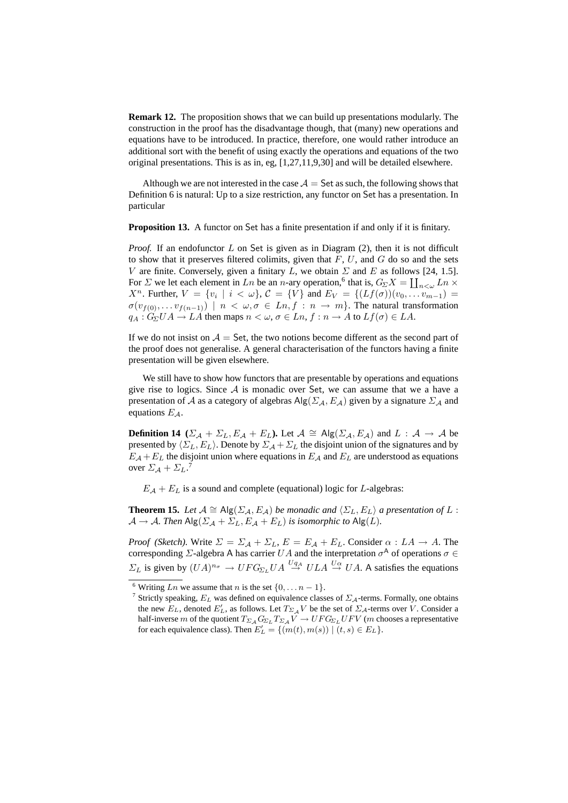**Remark 12.** The proposition shows that we can build up presentations modularly. The construction in the proof has the disadvantage though, that (many) new operations and equations have to be introduced. In practice, therefore, one would rather introduce an additional sort with the benefit of using exactly the operations and equations of the two original presentations. This is as in, eg, [1,27,11,9,30] and will be detailed elsewhere.

Although we are not interested in the case  $A =$  Set as such, the following shows that Definition 6 is natural: Up to a size restriction, any functor on Set has a presentation. In particular

**Proposition 13.** A functor on Set has a finite presentation if and only if it is finitary.

*Proof.* If an endofunctor L on Set is given as in Diagram (2), then it is not difficult to show that it preserves filtered colimits, given that  $F, U$ , and  $G$  do so and the sets V are finite. Conversely, given a finitary L, we obtain  $\Sigma$  and E as follows [24, 1.5]. For  $\Sigma$  we let each element in Ln be an n-ary operation,<sup>6</sup> that is,  $G_\Sigma X = \coprod_{n<\omega} Ln \times$  $X^n$ . Further,  $V = \{v_i \mid i < \omega\}$ ,  $\mathcal{C} = \{V\}$  and  $E_V = \{(Lf(\sigma))(v_0, \ldots, v_{m-1}) =$  $\sigma(v_{f(0)}, \ldots v_{f(n-1)}) \mid n \lt \omega, \sigma \in Ln, f : n \to m$ . The natural transformation  $q_A : G_\Sigma U A \to L A$  then maps  $n < \omega, \sigma \in L n$ ,  $f : n \to A$  to  $Lf(\sigma) \in L A$ .

If we do not insist on  $A =$  Set, the two notions become different as the second part of the proof does not generalise. A general characterisation of the functors having a finite presentation will be given elsewhere.

We still have to show how functors that are presentable by operations and equations give rise to logics. Since  $A$  is monadic over Set, we can assume that we a have a presentation of A as a category of algebras  $\text{Alg}(\Sigma_{\mathcal{A}}, E_{\mathcal{A}})$  given by a signature  $\Sigma_{\mathcal{A}}$  and equations  $E_A$ .

**Definition 14** ( $\Sigma_A + \Sigma_L$ ,  $E_A + E_L$ ). Let  $\mathcal{A} \cong \text{Alg}(\Sigma_A, E_A)$  and  $L : \mathcal{A} \to \mathcal{A}$  be presented by  $\langle \Sigma_L, E_L \rangle$ . Denote by  $\Sigma_A + \Sigma_L$  the disjoint union of the signatures and by  $E_A + E_L$  the disjoint union where equations in  $E_A$  and  $E_L$  are understood as equations over  $\Sigma_A + \Sigma_L$ .<sup>7</sup>

 $E_A + E_L$  is a sound and complete (equational) logic for L-algebras:

**Theorem 15.** *Let*  $A \cong \text{Alg}(\Sigma_A, E_A)$  *be monadic and*  $\langle \Sigma_L, E_L \rangle$  *a presentation of* L :  $\mathcal{A} \to \mathcal{A}$ . Then  $\text{Alg}(\Sigma_{\mathcal{A}} + \Sigma_L, E_{\mathcal{A}} + E_L)$  *is isomorphic to*  $\text{Alg}(L)$ .

*Proof (Sketch).* Write  $\Sigma = \Sigma_A + \Sigma_L$ ,  $E = E_A + E_L$ . Consider  $\alpha : LA \to A$ . The corresponding  $\Sigma$ -algebra A has carrier  $UA$  and the interpretation  $\sigma^A$  of operations  $\sigma \in$  $\Sigma_L$  is given by  $(UA)^{n_{\sigma}} \to UFG_{\Sigma_L}UA \stackrel{Uq_A}{\to} ULA \stackrel{U\alpha}{\to} UA$ . A satisfies the equations

<sup>&</sup>lt;sup>6</sup> Writing Ln we assume that n is the set  $\{0, \ldots n-1\}$ .

<sup>&</sup>lt;sup>7</sup> Strictly speaking,  $E_L$  was defined on equivalence classes of  $\Sigma_A$ -terms. Formally, one obtains the new  $E_L$ , denoted  $E'_L$ , as follows. Let  $T_{\Sigma A}V$  be the set of  $\Sigma_A$ -terms over V. Consider a half-inverse m of the quotient  $T_{\Sigma_A} G_{\Sigma_L} T_{\Sigma_A} V \to U F G_{\Sigma_L} U F V$  (m chooses a representative for each equivalence class). Then  $E'_L = \{ (m(t), m(s)) \mid (t, s) \in E_L \}.$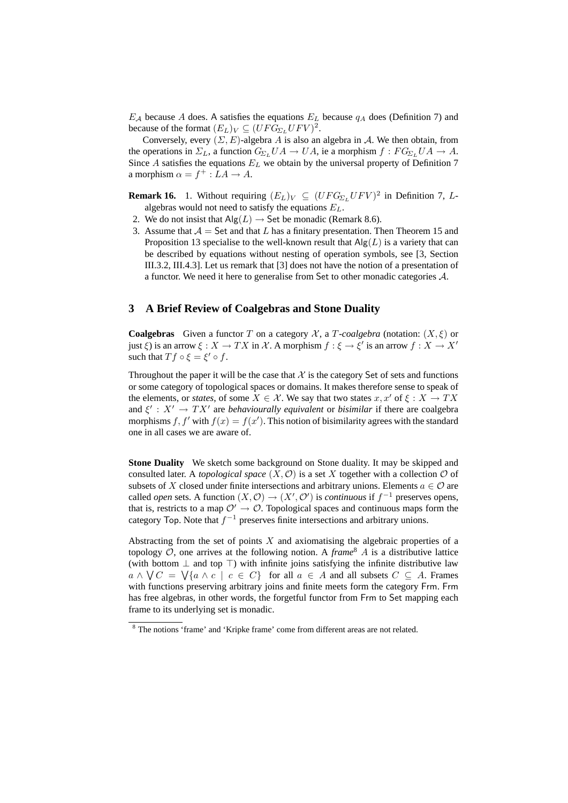$E_A$  because A does. A satisfies the equations  $E_L$  because  $q_A$  does (Definition 7) and because of the format  $(E_L)_V \subseteq (UFG_{\Sigma_L}UFV)^2$ .

Conversely, every  $(\Sigma, E)$ -algebra A is also an algebra in A. We then obtain, from the operations in  $\Sigma_L$ , a function  $G_{\Sigma_L}UA \to UA$ , ie a morphism  $f : FG_{\Sigma_L}UA \to A$ . Since A satisfies the equations  $E<sub>L</sub>$  we obtain by the universal property of Definition 7 a morphism  $\alpha = f^+ : LA \to A$ .

**Remark 16.** 1. Without requiring  $(E_L)_V \subseteq (UFG_{\Sigma_L}UFV)^2$  in Definition 7, Lalgebras would not need to satisfy the equations  $E_L$ .

- 2. We do not insist that  $\text{Alg}(L) \rightarrow \text{Set}$  be monadic (Remark 8.6).
- 3. Assume that  $A =$  Set and that L has a finitary presentation. Then Theorem 15 and Proposition 13 specialise to the well-known result that  $\text{Alg}(L)$  is a variety that can be described by equations without nesting of operation symbols, see [3, Section III.3.2, III.4.3]. Let us remark that [3] does not have the notion of a presentation of a functor. We need it here to generalise from Set to other monadic categories A.

# **3 A Brief Review of Coalgebras and Stone Duality**

**Coalgebras** Given a functor T on a category X, a T-coalgebra (notation:  $(X, \xi)$  or just  $\xi$ ) is an arrow  $\xi: X \to TX$  in X. A morphism  $f: \xi \to \xi'$  is an arrow  $f: X \to X'$ such that  $Tf \circ \xi = \xi' \circ f$ .

Throughout the paper it will be the case that  $\mathcal X$  is the category Set of sets and functions or some category of topological spaces or domains. It makes therefore sense to speak of the elements, or *states*, of some  $X \in \mathcal{X}$ . We say that two states  $x, x'$  of  $\xi : X \to TX$ and  $\xi' : X' \to TX'$  are *behaviourally equivalent* or *bisimilar* if there are coalgebra morphisms f, f' with  $f(x) = f(x')$ . This notion of bisimilarity agrees with the standard one in all cases we are aware of.

**Stone Duality** We sketch some background on Stone duality. It may be skipped and consulted later. A *topological space*  $(X, \mathcal{O})$  is a set X together with a collection  $\mathcal O$  of subsets of X closed under finite intersections and arbitrary unions. Elements  $a \in \mathcal{O}$  are called *open* sets. A function  $(X, \mathcal{O}) \to (X', \mathcal{O}')$  is *continuous* if  $f^{-1}$  preserves opens, that is, restricts to a map  $\mathcal{O}' \rightarrow \mathcal{O}$ . Topological spaces and continuous maps form the category Top. Note that  $f^{-1}$  preserves finite intersections and arbitrary unions.

Abstracting from the set of points  $X$  and axiomatising the algebraic properties of a topology  $\mathcal{O}$ , one arrives at the following notion. A *frame*<sup>8</sup> A is a distributive lattice (with bottom  $\perp$  and top  $\top$ ) with infinite joins satisfying the infinite distributive law  $a \wedge \bigvee C = \bigvee \{a \wedge c \mid c \in C\}$  for all  $a \in A$  and all subsets  $C \subseteq A$ . Frames with functions preserving arbitrary joins and finite meets form the category Frm. Frm has free algebras, in other words, the forgetful functor from Frm to Set mapping each frame to its underlying set is monadic.

<sup>8</sup> The notions 'frame' and 'Kripke frame' come from different areas are not related.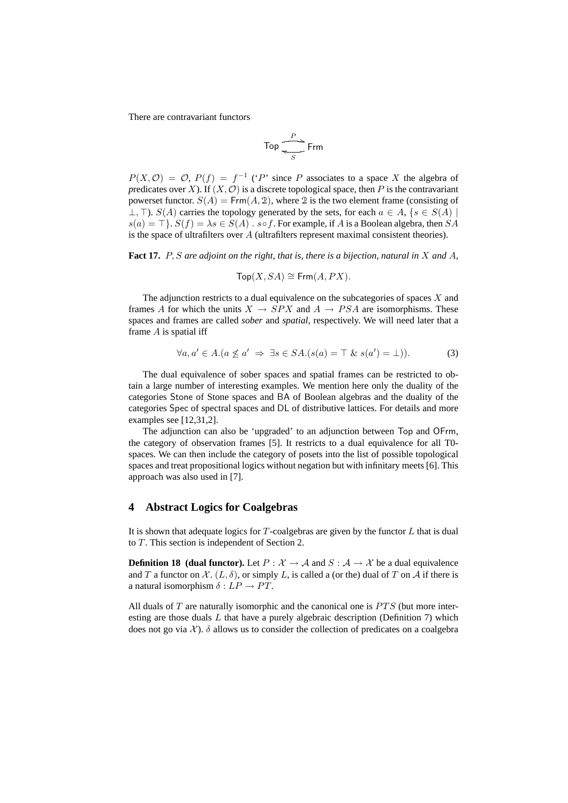There are contravariant functors

$$
\mathsf{Top} \xrightarrow{\mathit{P}} \mathsf{Frm}
$$

 $P(X, \mathcal{O}) = \mathcal{O}, P(f) = f^{-1}$  ('P' since P associates to a space X the algebra of *predicates over X*). If  $(X, \mathcal{O})$  is a discrete topological space, then P is the contravariant powerset functor.  $S(A) = \text{Frm}(A, 2)$ , where 2 is the two element frame (consisting of  $\perp$ ,  $\perp$ ).  $S(A)$  carries the topology generated by the sets, for each  $a \in A$ ,  $\{s \in S(A) \mid$  $s(a) = \top$ .  $S(f) = \lambda s \in S(A)$ .  $s \circ f$ . For example, if A is a Boolean algebra, then SA is the space of ultrafilters over A (ultrafilters represent maximal consistent theories).

**Fact 17.** P, S *are adjoint on the right, that is, there is a bijection, natural in* X *and* A*,*

$$
\mathsf{Top}(X,SA) \cong \mathsf{Frm}(A,PX).
$$

The adjunction restricts to a dual equivalence on the subcategories of spaces  $X$  and frames A for which the units  $X \rightarrow SPX$  and  $A \rightarrow PSA$  are isomorphisms. These spaces and frames are called *sober* and *spatial*, respectively. We will need later that a frame  $A$  is spatial iff

$$
\forall a, a' \in A. (a \nleq a' \Rightarrow \exists s \in SA. (s(a) = \top \& s(a') = \bot)). \tag{3}
$$

The dual equivalence of sober spaces and spatial frames can be restricted to obtain a large number of interesting examples. We mention here only the duality of the categories Stone of Stone spaces and BA of Boolean algebras and the duality of the categories Spec of spectral spaces and DL of distributive lattices. For details and more examples see [12,31,2].

The adjunction can also be 'upgraded' to an adjunction between Top and OFrm, the category of observation frames [5]. It restricts to a dual equivalence for all T0 spaces. We can then include the category of posets into the list of possible topological spaces and treat propositional logics without negation but with infinitary meets [6]. This approach was also used in [7].

### **4 Abstract Logics for Coalgebras**

It is shown that adequate logics for  $T$ -coalgebras are given by the functor  $L$  that is dual to T. This section is independent of Section 2.

**Definition 18 (dual functor).** Let  $P : \mathcal{X} \to \mathcal{A}$  and  $S : \mathcal{A} \to \mathcal{X}$  be a dual equivalence and T a functor on X.  $(L, \delta)$ , or simply L, is called a (or the) dual of T on A if there is a natural isomorphism  $\delta : LP \rightarrow PT$ .

All duals of  $T$  are naturally isomorphic and the canonical one is  $PTS$  (but more interesting are those duals  $L$  that have a purely algebraic description (Definition 7) which does not go via  $\mathcal{X}$ ).  $\delta$  allows us to consider the collection of predicates on a coalgebra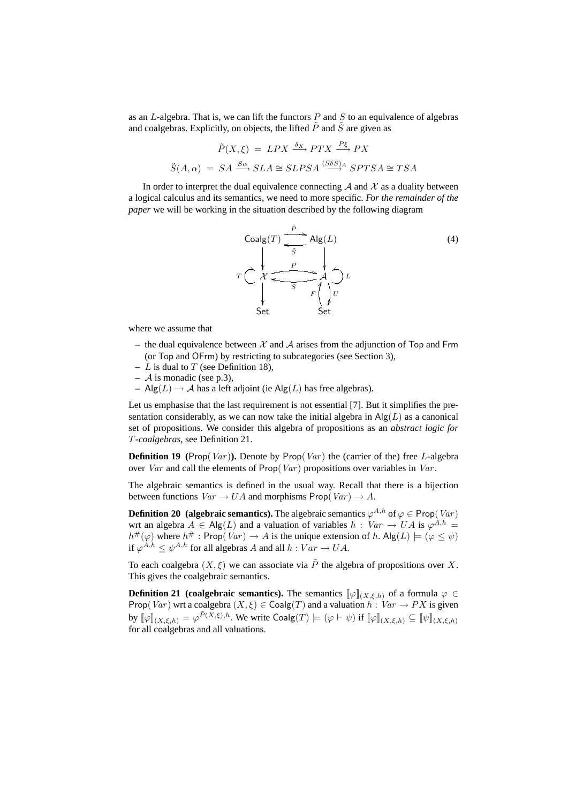as an  $L$ -algebra. That is, we can lift the functors  $P$  and  $S$  to an equivalence of algebras and coalgebras. Explicitly, on objects, the lifted  $P$  and  $S$  are given as

$$
\tilde{P}(X,\xi) = LPX \xrightarrow{\delta_X} PTX \xrightarrow{P\xi} PX
$$

$$
\tilde{S}(A,\alpha) = SA \xrightarrow{S\alpha} SLA \cong SLPSA \xrightarrow{(S\delta S)_A} SPTSA \cong TSA
$$

In order to interpret the dual equivalence connecting  $A$  and  $X$  as a duality between a logical calculus and its semantics, we need to more specific. *For the remainder of the paper* we will be working in the situation described by the following diagram



where we assume that

- the dual equivalence between  $X$  and  $A$  arises from the adjunction of Top and Frm (or Top and OFrm) by restricting to subcategories (see Section 3),
- **–** L is dual to T (see Definition 18),
- **–** A is monadic (see p.3),
- **–** Alg(L) → A has a left adjoint (ie Alg(L) has free algebras).

Let us emphasise that the last requirement is not essential [7]. But it simplifies the presentation considerably, as we can now take the initial algebra in  $\text{Alg}(L)$  as a canonical set of propositions. We consider this algebra of propositions as an *abstract logic for* T*-coalgebras*, see Definition 21.

**Definition 19** (Prop(*Var*)). Denote by Prop(*Var*) the (carrier of the) free L-algebra over Var and call the elements of  $\text{Prop}(Var)$  propositions over variables in Var.

The algebraic semantics is defined in the usual way. Recall that there is a bijection between functions  $Var \rightarrow UA$  and morphisms Prop(Var)  $\rightarrow A$ .

**Definition 20 (algebraic semantics).** The algebraic semantics  $\varphi^{A,h}$  of  $\varphi \in \mathsf{Prop}(Var)$ wrt an algebra  $A \in \mathsf{Alg}(L)$  and a valuation of variables  $h: Var \to UA$  is  $\varphi^{A,h} =$  $h^{\#}(\varphi)$  where  $h^{\#}$ : Prop(*Var*)  $\to A$  is the unique extension of h. Alg(L)  $\models (\varphi \leq \psi)$ if  $\varphi^{A,h} \leq \psi^{A,h}$  for all algebras A and all  $h: Var \rightarrow UA$ .

To each coalgebra  $(X, \xi)$  we can associate via  $\tilde{P}$  the algebra of propositions over X. This gives the coalgebraic semantics.

**Definition 21 (coalgebraic semantics).** The semantics  $[\varphi]_{(X,\xi,h)}$  of a formula  $\varphi \in$ Prop(Var) wrt a coalgebra  $(X, \xi) \in \text{Coalg}(T)$  and a valuation  $h : Var \rightarrow PX$  is given by  $[\![\varphi]\!]_{(X,\xi,h)} = \varphi^{\tilde{P}(X,\xi),h}.$  We write  $\mathsf{Coalg}(T) \models (\varphi \vdash \psi)$  if  $[\![\varphi]\!]_{(X,\xi,h)} \subseteq [\![\psi]\!]_{(X,\xi,h)}$ for all coalgebras and all valuations.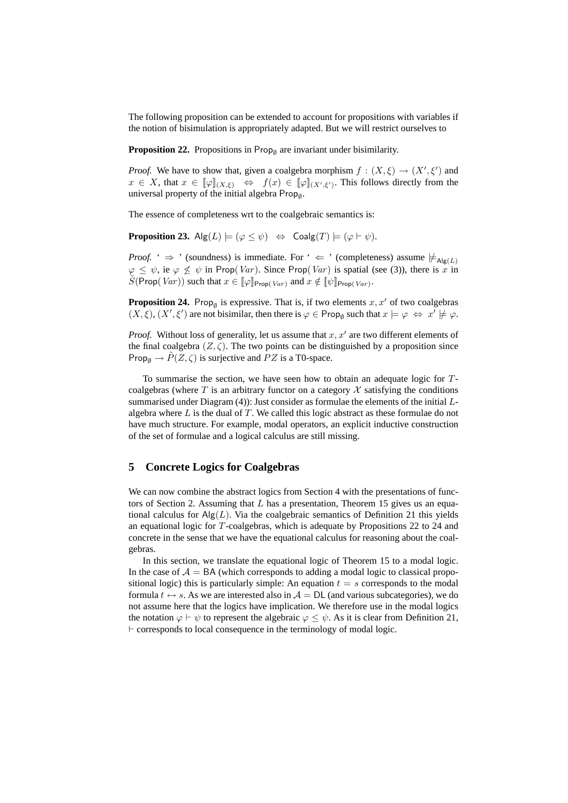The following proposition can be extended to account for propositions with variables if the notion of bisimulation is appropriately adapted. But we will restrict ourselves to

**Proposition 22.** Propositions in  $\mathsf{Prop}_{\emptyset}$  are invariant under bisimilarity.

*Proof.* We have to show that, given a coalgebra morphism  $f : (X, \xi) \to (X', \xi')$  and  $x \in X$ , that  $x \in [\![\varphi]\!]_{(X,\xi)} \Leftrightarrow f(x) \in [\![\varphi]\!]_{(X',\xi')}$ . This follows directly from the universal property of the initial algebra  $\mathsf{Prop}_{\emptyset}$ .

The essence of completeness wrt to the coalgebraic semantics is:

**Proposition 23.**  $\mathsf{Alg}(L) \models (\varphi \leq \psi) \Leftrightarrow \mathsf{Coalg}(T) \models (\varphi \vdash \psi).$ 

*Proof.* '  $\Rightarrow$  ' (soundness) is immediate. For '  $\Leftarrow$  ' (completeness) assume  $\neq_{\text{Alg}(L)}$  $\varphi \leq \psi$ , ie  $\varphi \not\leq \psi$  in Prop(*Var*). Since Prop(*Var*) is spatial (see (3)), there is x in  $\widetilde{S}(\text{Prop}(Var))$  such that  $x \in [\![\varphi]\!]_{\text{Prop}(Var)}$  and  $x \notin [\![\psi]\!]_{\text{Prop}(Var)}$ .

**Proposition 24.** Prop<sub> $\emptyset$ </sub> is expressive. That is, if two elements  $x, x'$  of two coalgebras  $(X, \xi), (X', \xi')$  are not bisimilar, then there is  $\varphi \in \mathsf{Prop}_{\emptyset}$  such that  $x \models \varphi \Leftrightarrow x' \not\models \varphi$ .

*Proof.* Without loss of generality, let us assume that  $x, x'$  are two different elements of the final coalgebra  $(Z, \zeta)$ . The two points can be distinguished by a proposition since Prop<sub> $\emptyset \rightarrow P(Z,\zeta)$  is surjective and PZ is a T0-space.</sub>

To summarise the section, we have seen how to obtain an adequate logic for Tcoalgebras (where  $T$  is an arbitrary functor on a category  $\mathcal X$  satisfying the conditions summarised under Diagram (4)): Just consider as formulae the elements of the initial Lalgebra where  $L$  is the dual of  $T$ . We called this logic abstract as these formulae do not have much structure. For example, modal operators, an explicit inductive construction of the set of formulae and a logical calculus are still missing.

# **5 Concrete Logics for Coalgebras**

We can now combine the abstract logics from Section 4 with the presentations of functors of Section 2. Assuming that  $L$  has a presentation, Theorem 15 gives us an equational calculus for  $\text{Alg}(L)$ . Via the coalgebraic semantics of Definition 21 this yields an equational logic for T-coalgebras, which is adequate by Propositions 22 to 24 and concrete in the sense that we have the equational calculus for reasoning about the coalgebras.

In this section, we translate the equational logic of Theorem 15 to a modal logic. In the case of  $A = BA$  (which corresponds to adding a modal logic to classical propositional logic) this is particularly simple: An equation  $t = s$  corresponds to the modal formula  $t \leftrightarrow s$ . As we are interested also in  $A = DL$  (and various subcategories), we do not assume here that the logics have implication. We therefore use in the modal logics the notation  $\varphi \vdash \psi$  to represent the algebraic  $\varphi \leq \psi$ . As it is clear from Definition 21,  $\vdash$  corresponds to local consequence in the terminology of modal logic.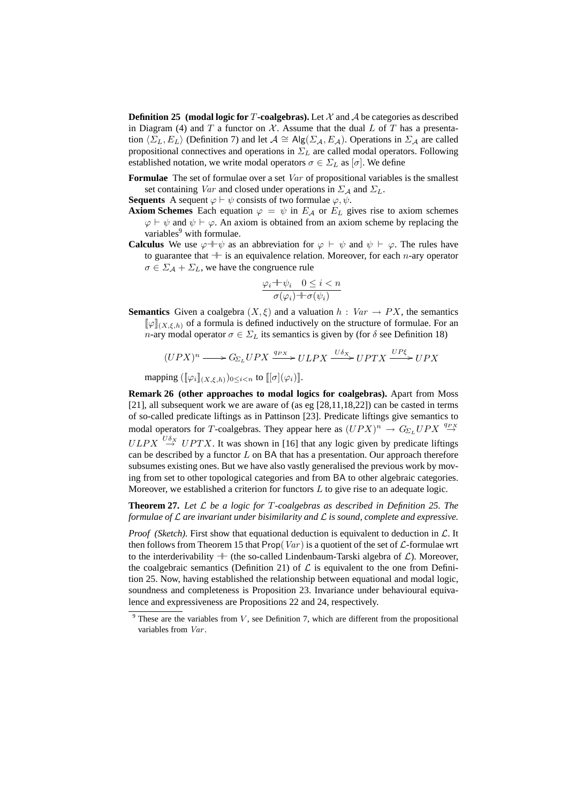**Definition 25 (modal logic for T-coalgebras).** Let  $\mathcal{X}$  and  $\mathcal{A}$  be categories as described in Diagram (4) and T a functor on  $X$ . Assume that the dual  $L$  of T has a presentation  $\langle \Sigma_L, E_L \rangle$  (Definition 7) and let  $\mathcal{A} \cong \text{Alg}(\Sigma_{\mathcal{A}}, E_{\mathcal{A}})$ . Operations in  $\Sigma_{\mathcal{A}}$  are called propositional connectives and operations in  $\Sigma_L$  are called modal operators. Following established notation, we write modal operators  $\sigma \in \Sigma_L$  as  $[\sigma]$ . We define

**Formulae** The set of formulae over a set Var of propositional variables is the smallest set containing Var and closed under operations in  $\Sigma_A$  and  $\Sigma_L$ .

**Sequents** A sequent  $\varphi \vdash \psi$  consists of two formulae  $\varphi, \psi$ .

- **Axiom Schemes** Each equation  $\varphi = \psi$  in  $E_A$  or  $E_L$  gives rise to axiom schemes  $\varphi \vdash \psi$  and  $\psi \vdash \varphi$ . An axiom is obtained from an axiom scheme by replacing the variables<sup>9</sup> with formulae.
- **Calculus** We use  $\varphi + \psi$  as an abbreviation for  $\varphi + \psi$  and  $\psi + \varphi$ . The rules have to guarantee that  $+$  is an equivalence relation. Moreover, for each n-ary operator  $\sigma \in \Sigma_A + \Sigma_L$ , we have the congruence rule

$$
\frac{\varphi_i + \psi_i \quad 0 \le i < n}{\sigma(\varphi_i) + \sigma(\psi_i)}
$$

**Semantics** Given a coalgebra  $(X, \xi)$  and a valuation  $h : Var \rightarrow PX$ , the semantics  $[\![\varphi]\!]_{(X,\xi,h)}$  of a formula is defined inductively on the structure of formulae. For an *n*-ary modal operator  $\sigma \in \Sigma_L$  its semantics is given by (for  $\delta$  see Definition 18)

$$
(UPX)^n \longrightarrow G_{\Sigma_L}UPX \xrightarrow{q_{PX}} ULPX \xrightarrow{U\delta_X} UPTX \xrightarrow{UP\xi} UPX
$$

mapping  $(\llbracket \varphi_i \rrbracket_{(X,\xi,h)})_{0 \leq i < n}$  to  $\llbracket [\sigma](\varphi_i) \rrbracket$ .

**Remark 26 (other approaches to modal logics for coalgebras).** Apart from Moss [21], all subsequent work we are aware of (as eg [28,11,18,22]) can be casted in terms of so-called predicate liftings as in Pattinson [23]. Predicate liftings give semantics to modal operators for T-coalgebras. They appear here as  $(UPX)^n \to G_{\Sigma_L} UPX \overset{q_{PX}}{\to}$  $ULPX \overset{U\delta_X}{\rightarrow} UPTX$ . It was shown in [16] that any logic given by predicate liftings can be described by a functor  $L$  on BA that has a presentation. Our approach therefore subsumes existing ones. But we have also vastly generalised the previous work by moving from set to other topological categories and from BA to other algebraic categories. Moreover, we established a criterion for functors  $L$  to give rise to an adequate logic.

**Theorem 27.** *Let* L *be a logic for* T*-coalgebras as described in Definition 25. The formulae of* L *are invariant under bisimilarity and* L *is sound, complete and expressive.*

*Proof (Sketch)*. First show that equational deduction is equivalent to deduction in  $\mathcal{L}$ . It then follows from Theorem 15 that Prop(Var) is a quotient of the set of  $\mathcal{L}$ -formulae wrt to the interderivability  $+$  (the so-called Lindenbaum-Tarski algebra of  $\mathcal{L}$ ). Moreover, the coalgebraic semantics (Definition 21) of  $\mathcal L$  is equivalent to the one from Definition 25. Now, having established the relationship between equational and modal logic, soundness and completeness is Proposition 23. Invariance under behavioural equivalence and expressiveness are Propositions 22 and 24, respectively.

 $9$  These are the variables from V, see Definition 7, which are different from the propositional variables from Var.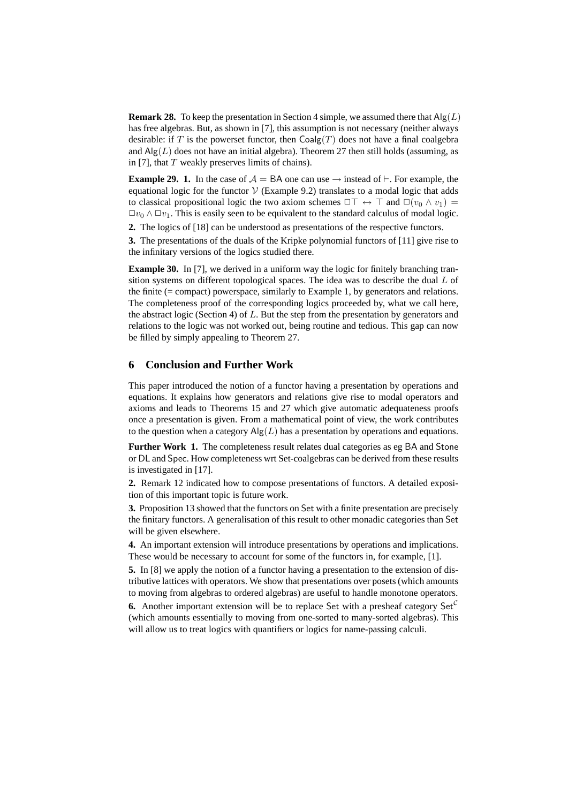**Remark 28.** To keep the presentation in Section 4 simple, we assumed there that  $\text{Alg}(L)$ has free algebras. But, as shown in [7], this assumption is not necessary (neither always desirable: if T is the powerset functor, then  $Coalg(T)$  does not have a final coalgebra and  $\text{Alg}(L)$  does not have an initial algebra). Theorem 27 then still holds (assuming, as in [7], that  $T$  weakly preserves limits of chains).

**Example 29. 1.** In the case of  $A = BA$  one can use  $\rightarrow$  instead of  $\vdash$ . For example, the equational logic for the functor  $V$  (Example 9.2) translates to a modal logic that adds to classical propositional logic the two axiom schemes  $\Box\top \leftrightarrow \top$  and  $\Box(v_0 \land v_1) =$  $\Box v_0 \wedge \Box v_1$ . This is easily seen to be equivalent to the standard calculus of modal logic.

**2.** The logics of [18] can be understood as presentations of the respective functors.

**3.** The presentations of the duals of the Kripke polynomial functors of [11] give rise to the infinitary versions of the logics studied there.

**Example 30.** In [7], we derived in a uniform way the logic for finitely branching transition systems on different topological spaces. The idea was to describe the dual L of the finite  $(= \text{compact})$  powerspace, similarly to Example 1, by generators and relations. The completeness proof of the corresponding logics proceeded by, what we call here, the abstract logic (Section 4) of  $L$ . But the step from the presentation by generators and relations to the logic was not worked out, being routine and tedious. This gap can now be filled by simply appealing to Theorem 27.

## **6 Conclusion and Further Work**

This paper introduced the notion of a functor having a presentation by operations and equations. It explains how generators and relations give rise to modal operators and axioms and leads to Theorems 15 and 27 which give automatic adequateness proofs once a presentation is given. From a mathematical point of view, the work contributes to the question when a category  $\text{Alg}(L)$  has a presentation by operations and equations.

**Further Work 1.** The completeness result relates dual categories as eg BA and Stone or DL and Spec. How completeness wrt Set-coalgebras can be derived from these results is investigated in [17].

**2.** Remark 12 indicated how to compose presentations of functors. A detailed exposition of this important topic is future work.

**3.** Proposition 13 showed that the functors on Set with a finite presentation are precisely the finitary functors. A generalisation of this result to other monadic categories than Set will be given elsewhere.

**4.** An important extension will introduce presentations by operations and implications. These would be necessary to account for some of the functors in, for example, [1].

**5.** In [8] we apply the notion of a functor having a presentation to the extension of distributive lattices with operators. We show that presentations over posets (which amounts to moving from algebras to ordered algebras) are useful to handle monotone operators.

**6.** Another important extension will be to replace Set with a presheaf category  $Set^C$ (which amounts essentially to moving from one-sorted to many-sorted algebras). This will allow us to treat logics with quantifiers or logics for name-passing calculi.